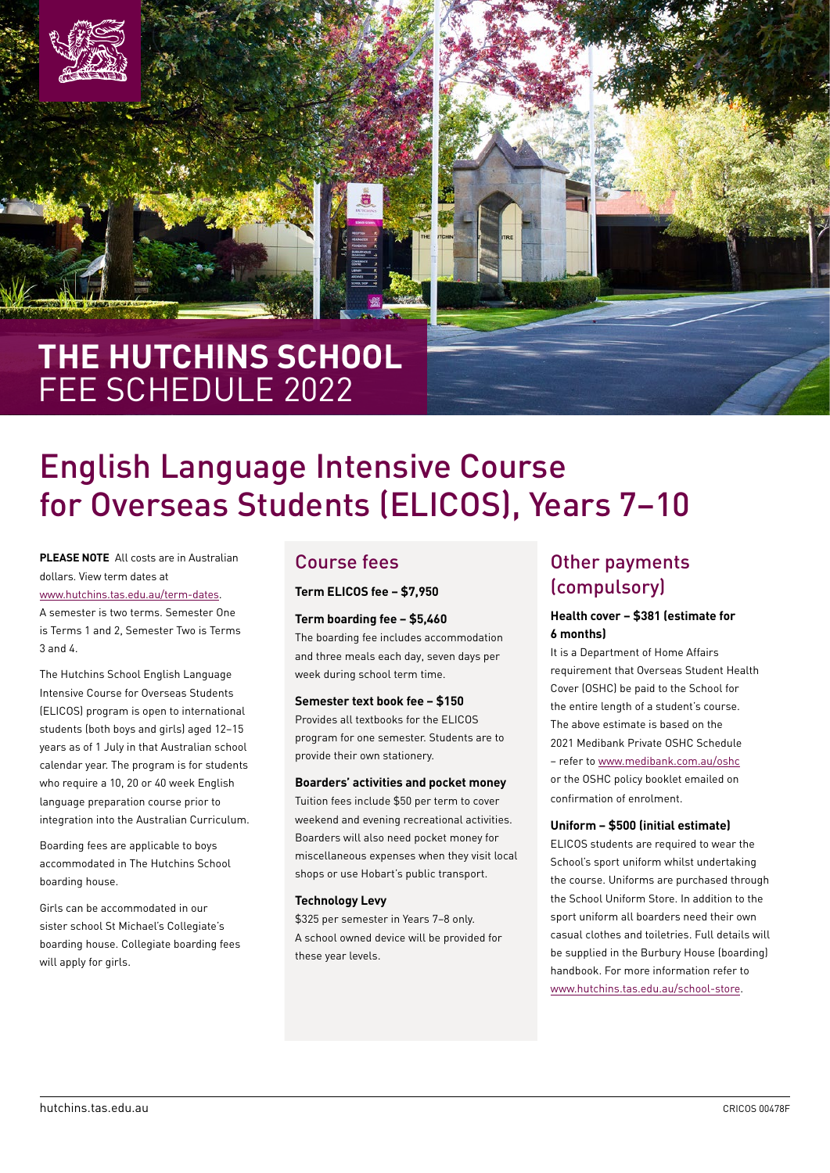



## **THE HUTCHINS SCHOOL**  FEE SCHEDULE 2022

# English Language Intensive Course for Overseas Students (ELICOS), Years 7–10

**PLEASE NOTE** All costs are in Australian dollars. View term dates at [www.hutchins.tas.edu.au/term-dates](https://www.hutchins.tas.edu.au/term-dates). A semester is two terms. Semester One is Terms 1 and 2, Semester Two is Terms 3 and 4.

The Hutchins School English Language Intensive Course for Overseas Students (ELICOS) program is open to international students (both boys and girls) aged 12–15 years as of 1 July in that Australian school calendar year. The program is for students who require a 10, 20 or 40 week English language preparation course prior to integration into the Australian Curriculum.

Boarding fees are applicable to boys accommodated in The Hutchins School boarding house.

Girls can be accommodated in our sister school St Michael's Collegiate's boarding house. Collegiate boarding fees will apply for girls.

### Course fees

**Term ELICOS fee – \$7,950**

#### **Term boarding fee – \$5,460**

The boarding fee includes accommodation and three meals each day, seven days per week during school term time.

#### **Semester text book fee – \$150**

Provides all textbooks for the ELICOS program for one semester. Students are to provide their own stationery.

#### **Boarders' activities and pocket money**

Tuition fees include \$50 per term to cover weekend and evening recreational activities. Boarders will also need pocket money for miscellaneous expenses when they visit local shops or use Hobart's public transport.

#### **Technology Levy**

\$325 per semester in Years 7–8 only. A school owned device will be provided for these year levels.

### Other payments (compulsory)

#### **Health cover – \$381 (estimate for 6 months)**

It is a Department of Home Affairs requirement that Overseas Student Health Cover (OSHC) be paid to the School for the entire length of a student's course. The above estimate is based on the 2021 Medibank Private OSHC Schedule – refer to [www.medibank.com.au/oshc](https://www.medibank.com.au/overseas-health-insurance/oshc/) or the OSHC policy booklet emailed on confirmation of enrolment.

#### **Uniform – \$500 (initial estimate)**

ELICOS students are required to wear the School's sport uniform whilst undertaking the course. Uniforms are purchased through the School Uniform Store. In addition to the sport uniform all boarders need their own casual clothes and toiletries. Full details will be supplied in the Burbury House (boarding) handbook. For more information refer to [www.hutchins.tas.edu.au/school-store](https://www.hutchins.tas.edu.au/school-store).